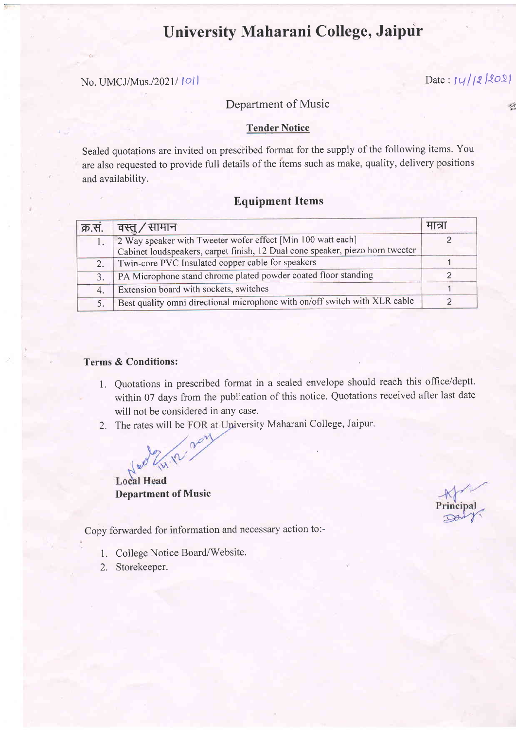# University Maharani College, Jaipur

## No. UMCJ/Mus./2021/1011 Date:  $|q|/2$  2021

### Department of Music

#### Tender Notice

Sealed quotations are invited on prescribed format for the supply of the following items. You are also requested to provide full details of the items such as make, quality, delivery positions and availability.

## Equipment ltems

|    | क्र.सं.   वस्तू / सामान                                                       | ୍ୟାଧା |
|----|-------------------------------------------------------------------------------|-------|
|    | 2 Way speaker with Tweeter wofer effect [Min 100 watt each]                   |       |
|    | Cabinet loudspeakers, carpet finish, 12 Dual cone speaker, piezo horn tweeter |       |
| 2. | Twin-core PVC Insulated copper cable for speakers                             |       |
|    | PA Microphone stand chrome plated powder coated floor standing                |       |
| 4. | Extension board with sockets, switches                                        |       |
|    | Best quality omni directional microphone with on/off switch with XLR cable    |       |

### Terms & Conditions:

- 1. Quotations in prescribed format in a sealed envelope should reach this office/deptt. within 07 days from the publication of this notice, Quotations received after last date will not be considered in any case.
- 2. The rates will be FOR at University Maharani College, Jaipur.

**Local Head** Department of Music

Copy forwarded for information and necessary action to:-

- 1. College Notice Board/Website.
- 2. Storekeeper.